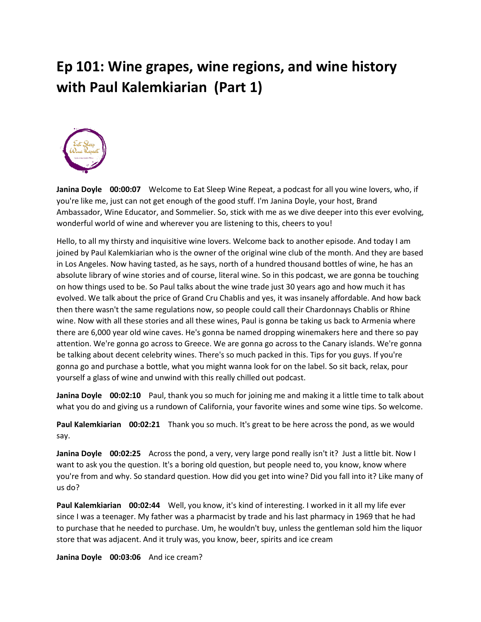## **Ep 101: Wine grapes, wine regions, and wine history with Paul Kalemkiarian (Part 1)**



**Janina Doyle 00:00:07** Welcome to Eat Sleep Wine Repeat, a podcast for all you wine lovers, who, if you're like me, just can not get enough of the good stuff. I'm Janina Doyle, your host, Brand Ambassador, Wine Educator, and Sommelier. So, stick with me as we dive deeper into this ever evolving, wonderful world of wine and wherever you are listening to this, cheers to you!

Hello, to all my thirsty and inquisitive wine lovers. Welcome back to another episode. And today I am joined by Paul Kalemkiarian who is the owner of the original wine club of the month. And they are based in Los Angeles. Now having tasted, as he says, north of a hundred thousand bottles of wine, he has an absolute library of wine stories and of course, literal wine. So in this podcast, we are gonna be touching on how things used to be. So Paul talks about the wine trade just 30 years ago and how much it has evolved. We talk about the price of Grand Cru Chablis and yes, it was insanely affordable. And how back then there wasn't the same regulations now, so people could call their Chardonnays Chablis or Rhine wine. Now with all these stories and all these wines, Paul is gonna be taking us back to Armenia where there are 6,000 year old wine caves. He's gonna be named dropping winemakers here and there so pay attention. We're gonna go across to Greece. We are gonna go across to the Canary islands. We're gonna be talking about decent celebrity wines. There's so much packed in this. Tips for you guys. If you're gonna go and purchase a bottle, what you might wanna look for on the label. So sit back, relax, pour yourself a glass of wine and unwind with this really chilled out podcast.

**Janina Doyle 00:02:10** Paul, thank you so much for joining me and making it a little time to talk about what you do and giving us a rundown of California, your favorite wines and some wine tips. So welcome.

**Paul Kalemkiarian 00:02:21** Thank you so much. It's great to be here across the pond, as we would say.

**Janina Doyle 00:02:25** Across the pond, a very, very large pond really isn't it? Just a little bit. Now I want to ask you the question. It's a boring old question, but people need to, you know, know where you're from and why. So standard question. How did you get into wine? Did you fall into it? Like many of us do?

**Paul Kalemkiarian 00:02:44** Well, you know, it's kind of interesting. I worked in it all my life ever since I was a teenager. My father was a pharmacist by trade and his last pharmacy in 1969 that he had to purchase that he needed to purchase. Um, he wouldn't buy, unless the gentleman sold him the liquor store that was adjacent. And it truly was, you know, beer, spirits and ice cream

**Janina Doyle 00:03:06** And ice cream?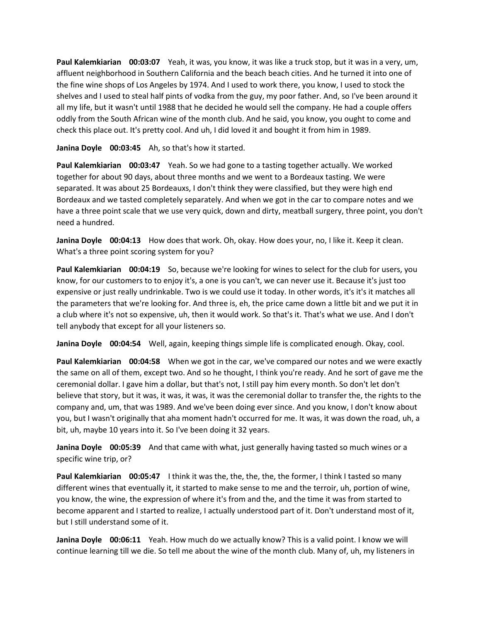**Paul Kalemkiarian 00:03:07** Yeah, it was, you know, it was like a truck stop, but it was in a very, um, affluent neighborhood in Southern California and the beach beach cities. And he turned it into one of the fine wine shops of Los Angeles by 1974. And I used to work there, you know, I used to stock the shelves and I used to steal half pints of vodka from the guy, my poor father. And, so I've been around it all my life, but it wasn't until 1988 that he decided he would sell the company. He had a couple offers oddly from the South African wine of the month club. And he said, you know, you ought to come and check this place out. It's pretty cool. And uh, I did loved it and bought it from him in 1989.

**Janina Doyle 00:03:45** Ah, so that's how it started.

**Paul Kalemkiarian 00:03:47** Yeah. So we had gone to a tasting together actually. We worked together for about 90 days, about three months and we went to a Bordeaux tasting. We were separated. It was about 25 Bordeauxs, I don't think they were classified, but they were high end Bordeaux and we tasted completely separately. And when we got in the car to compare notes and we have a three point scale that we use very quick, down and dirty, meatball surgery, three point, you don't need a hundred.

**Janina Doyle 00:04:13** How does that work. Oh, okay. How does your, no, I like it. Keep it clean. What's a three point scoring system for you?

**Paul Kalemkiarian 00:04:19** So, because we're looking for wines to select for the club for users, you know, for our customers to to enjoy it's, a one is you can't, we can never use it. Because it's just too expensive or just really undrinkable. Two is we could use it today. In other words, it's it's it matches all the parameters that we're looking for. And three is, eh, the price came down a little bit and we put it in a club where it's not so expensive, uh, then it would work. So that's it. That's what we use. And I don't tell anybody that except for all your listeners so.

**Janina Doyle 00:04:54** Well, again, keeping things simple life is complicated enough. Okay, cool.

**Paul Kalemkiarian 00:04:58** When we got in the car, we've compared our notes and we were exactly the same on all of them, except two. And so he thought, I think you're ready. And he sort of gave me the ceremonial dollar. I gave him a dollar, but that's not, I still pay him every month. So don't let don't believe that story, but it was, it was, it was, it was the ceremonial dollar to transfer the, the rights to the company and, um, that was 1989. And we've been doing ever since. And you know, I don't know about you, but I wasn't originally that aha moment hadn't occurred for me. It was, it was down the road, uh, a bit, uh, maybe 10 years into it. So I've been doing it 32 years.

**Janina Doyle 00:05:39** And that came with what, just generally having tasted so much wines or a specific wine trip, or?

**Paul Kalemkiarian 00:05:47** I think it was the, the, the, the, the former, I think I tasted so many different wines that eventually it, it started to make sense to me and the terroir, uh, portion of wine, you know, the wine, the expression of where it's from and the, and the time it was from started to become apparent and I started to realize, I actually understood part of it. Don't understand most of it, but I still understand some of it.

**Janina Doyle 00:06:11** Yeah. How much do we actually know? This is a valid point. I know we will continue learning till we die. So tell me about the wine of the month club. Many of, uh, my listeners in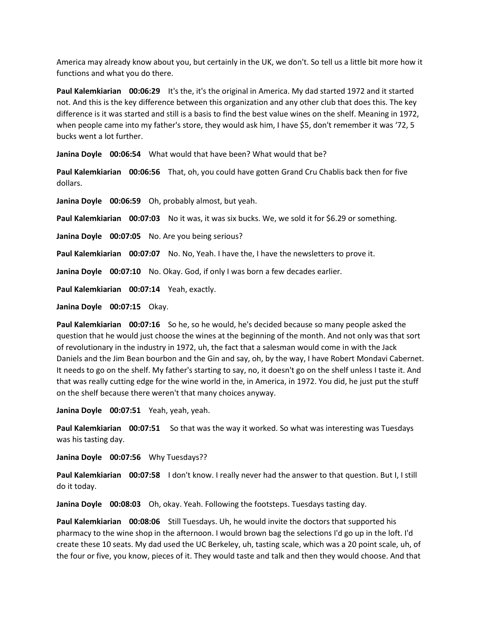America may already know about you, but certainly in the UK, we don't. So tell us a little bit more how it functions and what you do there.

**Paul Kalemkiarian 00:06:29** It's the, it's the original in America. My dad started 1972 and it started not. And this is the key difference between this organization and any other club that does this. The key difference is it was started and still is a basis to find the best value wines on the shelf. Meaning in 1972, when people came into my father's store, they would ask him, I have \$5, don't remember it was '72, 5 bucks went a lot further.

**Janina Doyle 00:06:54** What would that have been? What would that be?

**Paul Kalemkiarian 00:06:56** That, oh, you could have gotten Grand Cru Chablis back then for five dollars.

**Janina Doyle 00:06:59** Oh, probably almost, but yeah.

**Paul Kalemkiarian** 00:07:03 No it was, it was six bucks. We, we sold it for \$6.29 or something.

**Janina Doyle 00:07:05** No. Are you being serious?

**Paul Kalemkiarian 00:07:07** No. No, Yeah. I have the, I have the newsletters to prove it.

Janina Doyle 00:07:10 No. Okay. God, if only I was born a few decades earlier.

Paul Kalemkiarian 00:07:14 Yeah, exactly.

**Janina Doyle 00:07:15** Okay.

**Paul Kalemkiarian 00:07:16** So he, so he would, he's decided because so many people asked the question that he would just choose the wines at the beginning of the month. And not only was that sort of revolutionary in the industry in 1972, uh, the fact that a salesman would come in with the Jack Daniels and the Jim Bean bourbon and the Gin and say, oh, by the way, I have Robert Mondavi Cabernet. It needs to go on the shelf. My father's starting to say, no, it doesn't go on the shelf unless I taste it. And that was really cutting edge for the wine world in the, in America, in 1972. You did, he just put the stuff on the shelf because there weren't that many choices anyway.

**Janina Doyle 00:07:51** Yeah, yeah, yeah.

**Paul Kalemkiarian 00:07:51** So that was the way it worked. So what was interesting was Tuesdays was his tasting day.

**Janina Doyle 00:07:56** Why Tuesdays??

**Paul Kalemkiarian 00:07:58** I don't know. I really never had the answer to that question. But I, I still do it today.

**Janina Doyle 00:08:03** Oh, okay. Yeah. Following the footsteps. Tuesdays tasting day.

**Paul Kalemkiarian 00:08:06** Still Tuesdays. Uh, he would invite the doctors that supported his pharmacy to the wine shop in the afternoon. I would brown bag the selections I'd go up in the loft. I'd create these 10 seats. My dad used the UC Berkeley, uh, tasting scale, which was a 20 point scale, uh, of the four or five, you know, pieces of it. They would taste and talk and then they would choose. And that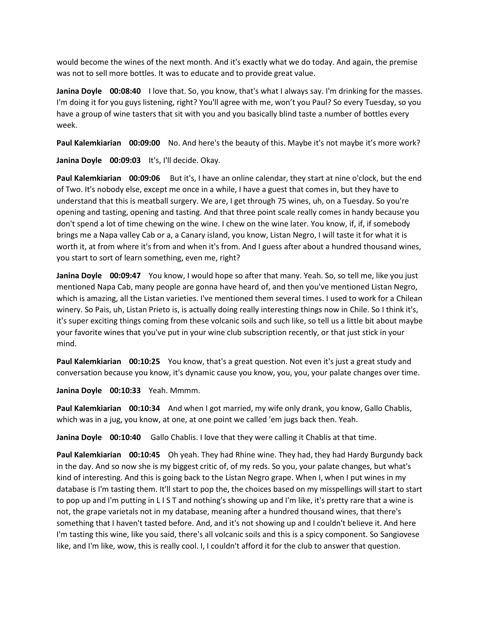would become the wines of the next month. And it's exactly what we do today. And again, the premise was not to sell more bottles. It was to educate and to provide great value.

**Janina Doyle 00:08:40** I love that. So, you know, that's what I always say. I'm drinking for the masses. I'm doing it for you guys listening, right? You'll agree with me, won't you Paul? So every Tuesday, so you have a group of wine tasters that sit with you and you basically blind taste a number of bottles every week.

**Paul Kalemkiarian 00:09:00** No. And here's the beauty of this. Maybe it's not maybe it's more work?

**Janina Doyle 00:09:03** It's, I'll decide. Okay.

**Paul Kalemkiarian** 00:09:06 But it's, I have an online calendar, they start at nine o'clock, but the end of Two. It's nobody else, except me once in a while, I have a guest that comes in, but they have to understand that this is meatball surgery. We are, I get through 75 wines, uh, on a Tuesday. So you're opening and tasting, opening and tasting. And that three point scale really comes in handy because you don't spend a lot of time chewing on the wine. I chew on the wine later. You know, if, if, if somebody brings me a Napa valley Cab or a, a Canary island, you know, Listan Negro, I will taste it for what it is worth it, at from where it's from and when it's from. And I guess after about a hundred thousand wines, you start to sort of learn something, even me, right?

**Janina Doyle 00:09:47** You know, I would hope so after that many. Yeah. So, so tell me, like you just mentioned Napa Cab, many people are gonna have heard of, and then you've mentioned Listan Negro, which is amazing, all the Listan varieties. I've mentioned them several times. I used to work for a Chilean winery. So Pais, uh, Listan Prieto is, is actually doing really interesting things now in Chile. So I think it's, it's super exciting things coming from these volcanic soils and such like, so tell us a little bit about maybe your favorite wines that you've put in your wine club subscription recently, or that just stick in your mind.

**Paul Kalemkiarian 00:10:25** You know, that's a great question. Not even it's just a great study and conversation because you know, it's dynamic cause you know, you, you, your palate changes over time.

**Janina Doyle 00:10:33** Yeah. Mmmm.

**Paul Kalemkiarian 00:10:34** And when I got married, my wife only drank, you know, Gallo Chablis, which was in a jug, you know, at one, at one point we called 'em jugs back then. Yeah.

**Janina Doyle 00:10:40** Gallo Chablis. I love that they were calling it Chablis at that time.

**Paul Kalemkiarian 00:10:45** Oh yeah. They had Rhine wine. They had, they had Hardy Burgundy back in the day. And so now she is my biggest critic of, of my reds. So you, your palate changes, but what's kind of interesting. And this is going back to the Listan Negro grape. When I, when I put wines in my database is I'm tasting them. It'll start to pop the, the choices based on my misspellings will start to start to pop up and I'm putting in L I S T and nothing's showing up and I'm like, it's pretty rare that a wine is not, the grape varietals not in my database, meaning after a hundred thousand wines, that there's something that I haven't tasted before. And, and it's not showing up and I couldn't believe it. And here I'm tasting this wine, like you said, there's all volcanic soils and this is a spicy component. So Sangiovese like, and I'm like, wow, this is really cool. I, I couldn't afford it for the club to answer that question.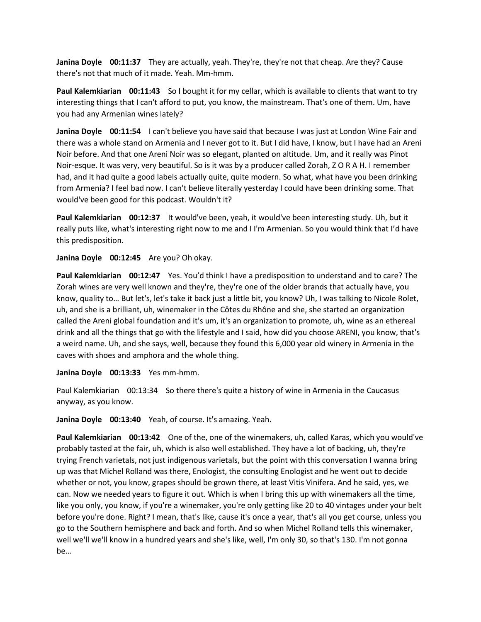**Janina Doyle 00:11:37** They are actually, yeah. They're, they're not that cheap. Are they? Cause there's not that much of it made. Yeah. Mm-hmm.

**Paul Kalemkiarian 00:11:43** So I bought it for my cellar, which is available to clients that want to try interesting things that I can't afford to put, you know, the mainstream. That's one of them. Um, have you had any Armenian wines lately?

**Janina Doyle 00:11:54** I can't believe you have said that because I was just at London Wine Fair and there was a whole stand on Armenia and I never got to it. But I did have, I know, but I have had an Areni Noir before. And that one Areni Noir was so elegant, planted on altitude. Um, and it really was Pinot Noir-esque. It was very, very beautiful. So is it was by a producer called Zorah, Z O R A H. I remember had, and it had quite a good labels actually quite, quite modern. So what, what have you been drinking from Armenia? I feel bad now. I can't believe literally yesterday I could have been drinking some. That would've been good for this podcast. Wouldn't it?

**Paul Kalemkiarian 00:12:37** It would've been, yeah, it would've been interesting study. Uh, but it really puts like, what's interesting right now to me and I I'm Armenian. So you would think that I'd have this predisposition.

**Janina Doyle 00:12:45** Are you? Oh okay.

**Paul Kalemkiarian 00:12:47** Yes. You'd think I have a predisposition to understand and to care? The Zorah wines are very well known and they're, they're one of the older brands that actually have, you know, quality to… But let's, let's take it back just a little bit, you know? Uh, I was talking to Nicole Rolet, uh, and she is a brilliant, uh, winemaker in the Côtes du Rhône and she, she started an organization called the Areni global foundation and it's um, it's an organization to promote, uh, wine as an ethereal drink and all the things that go with the lifestyle and I said, how did you choose ARENI, you know, that's a weird name. Uh, and she says, well, because they found this 6,000 year old winery in Armenia in the caves with shoes and amphora and the whole thing.

**Janina Doyle 00:13:33** Yes mm-hmm.

Paul Kalemkiarian 00:13:34 So there there's quite a history of wine in Armenia in the Caucasus anyway, as you know.

**Janina Doyle 00:13:40** Yeah, of course. It's amazing. Yeah.

**Paul Kalemkiarian 00:13:42** One of the, one of the winemakers, uh, called Karas, which you would've probably tasted at the fair, uh, which is also well established. They have a lot of backing, uh, they're trying French varietals, not just indigenous varietals, but the point with this conversation I wanna bring up was that Michel Rolland was there, Enologist, the consulting Enologist and he went out to decide whether or not, you know, grapes should be grown there, at least Vitis Vinifera. And he said, yes, we can. Now we needed years to figure it out. Which is when I bring this up with winemakers all the time, like you only, you know, if you're a winemaker, you're only getting like 20 to 40 vintages under your belt before you're done. Right? I mean, that's like, cause it's once a year, that's all you get course, unless you go to the Southern hemisphere and back and forth. And so when Michel Rolland tells this winemaker, well we'll we'll know in a hundred years and she's like, well, I'm only 30, so that's 130. I'm not gonna be…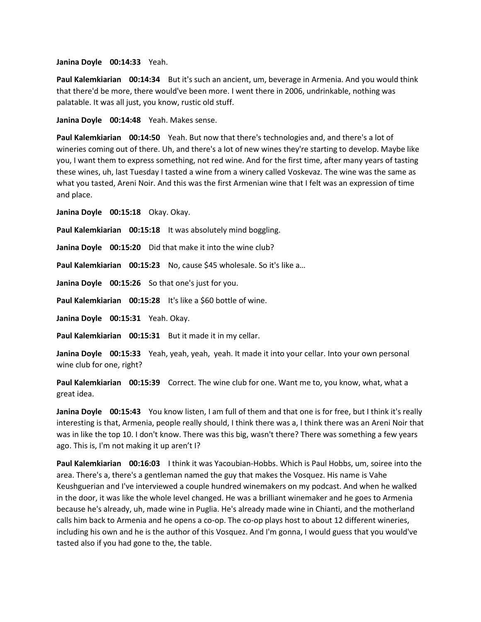**Janina Doyle 00:14:33** Yeah.

**Paul Kalemkiarian 00:14:34** But it's such an ancient, um, beverage in Armenia. And you would think that there'd be more, there would've been more. I went there in 2006, undrinkable, nothing was palatable. It was all just, you know, rustic old stuff.

**Janina Doyle 00:14:48** Yeah. Makes sense.

**Paul Kalemkiarian 00:14:50** Yeah. But now that there's technologies and, and there's a lot of wineries coming out of there. Uh, and there's a lot of new wines they're starting to develop. Maybe like you, I want them to express something, not red wine. And for the first time, after many years of tasting these wines, uh, last Tuesday I tasted a wine from a winery called Voskevaz. The wine was the same as what you tasted, Areni Noir. And this was the first Armenian wine that I felt was an expression of time and place.

**Janina Doyle 00:15:18** Okay. Okay.

**Paul Kalemkiarian 00:15:18** It was absolutely mind boggling.

**Janina Doyle 00:15:20** Did that make it into the wine club?

**Paul Kalemkiarian 00:15:23** No, cause \$45 wholesale. So it's like a…

**Janina Doyle 00:15:26** So that one's just for you.

**Paul Kalemkiarian** 00:15:28 It's like a \$60 bottle of wine.

**Janina Doyle 00:15:31** Yeah. Okay.

**Paul Kalemkiarian 00:15:31** But it made it in my cellar.

**Janina Doyle 00:15:33** Yeah, yeah, yeah, yeah. It made it into your cellar. Into your own personal wine club for one, right?

**Paul Kalemkiarian 00:15:39** Correct. The wine club for one. Want me to, you know, what, what a great idea.

**Janina Doyle 00:15:43** You know listen, I am full of them and that one is for free, but I think it's really interesting is that, Armenia, people really should, I think there was a, I think there was an Areni Noir that was in like the top 10. I don't know. There was this big, wasn't there? There was something a few years ago. This is, I'm not making it up aren't I?

**Paul Kalemkiarian 00:16:03** I think it was Yacoubian-Hobbs. Which is Paul Hobbs, um, soiree into the area. There's a, there's a gentleman named the guy that makes the Vosquez. His name is Vahe Keushguerian and I've interviewed a couple hundred winemakers on my podcast. And when he walked in the door, it was like the whole level changed. He was a brilliant winemaker and he goes to Armenia because he's already, uh, made wine in Puglia. He's already made wine in Chianti, and the motherland calls him back to Armenia and he opens a co-op. The co-op plays host to about 12 different wineries, including his own and he is the author of this Vosquez. And I'm gonna, I would guess that you would've tasted also if you had gone to the, the table.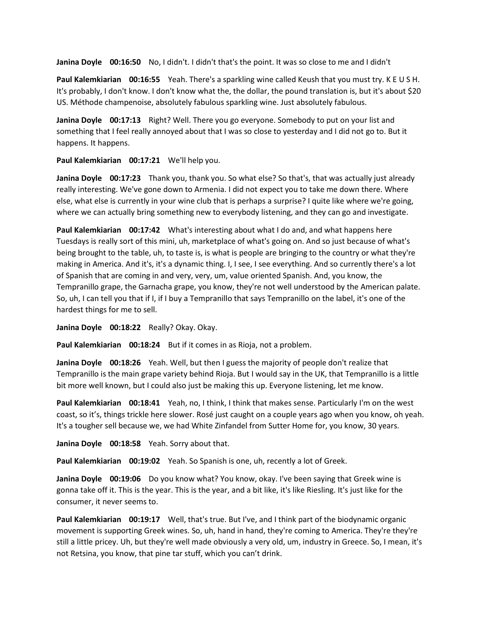**Janina Doyle 00:16:50** No, I didn't. I didn't that's the point. It was so close to me and I didn't

**Paul Kalemkiarian 00:16:55** Yeah. There's a sparkling wine called Keush that you must try. K E U S H. It's probably, I don't know. I don't know what the, the dollar, the pound translation is, but it's about \$20 US. Méthode champenoise, absolutely fabulous sparkling wine. Just absolutely fabulous.

**Janina Doyle 00:17:13** Right? Well. There you go everyone. Somebody to put on your list and something that I feel really annoyed about that I was so close to yesterday and I did not go to. But it happens. It happens.

**Paul Kalemkiarian 00:17:21** We'll help you.

**Janina Doyle 00:17:23** Thank you, thank you. So what else? So that's, that was actually just already really interesting. We've gone down to Armenia. I did not expect you to take me down there. Where else, what else is currently in your wine club that is perhaps a surprise? I quite like where we're going, where we can actually bring something new to everybody listening, and they can go and investigate.

**Paul Kalemkiarian 00:17:42** What's interesting about what I do and, and what happens here Tuesdays is really sort of this mini, uh, marketplace of what's going on. And so just because of what's being brought to the table, uh, to taste is, is what is people are bringing to the country or what they're making in America. And it's, it's a dynamic thing. I, I see, I see everything. And so currently there's a lot of Spanish that are coming in and very, very, um, value oriented Spanish. And, you know, the Tempranillo grape, the Garnacha grape, you know, they're not well understood by the American palate. So, uh, I can tell you that if I, if I buy a Tempranillo that says Tempranillo on the label, it's one of the hardest things for me to sell.

**Janina Doyle 00:18:22** Really? Okay. Okay.

**Paul Kalemkiarian 00:18:24** But if it comes in as Rioja, not a problem.

**Janina Doyle 00:18:26** Yeah. Well, but then I guess the majority of people don't realize that Tempranillo is the main grape variety behind Rioja. But I would say in the UK, that Tempranillo is a little bit more well known, but I could also just be making this up. Everyone listening, let me know.

**Paul Kalemkiarian 00:18:41** Yeah, no, I think, I think that makes sense. Particularly I'm on the west coast, so it's, things trickle here slower. Rosé just caught on a couple years ago when you know, oh yeah. It's a tougher sell because we, we had White Zinfandel from Sutter Home for, you know, 30 years.

**Janina Doyle 00:18:58** Yeah. Sorry about that.

**Paul Kalemkiarian 00:19:02** Yeah. So Spanish is one, uh, recently a lot of Greek.

Janina Doyle 00:19:06 Do you know what? You know, okay. I've been saying that Greek wine is gonna take off it. This is the year. This is the year, and a bit like, it's like Riesling. It's just like for the consumer, it never seems to.

**Paul Kalemkiarian 00:19:17** Well, that's true. But I've, and I think part of the biodynamic organic movement is supporting Greek wines. So, uh, hand in hand, they're coming to America. They're they're still a little pricey. Uh, but they're well made obviously a very old, um, industry in Greece. So, I mean, it's not Retsina, you know, that pine tar stuff, which you can't drink.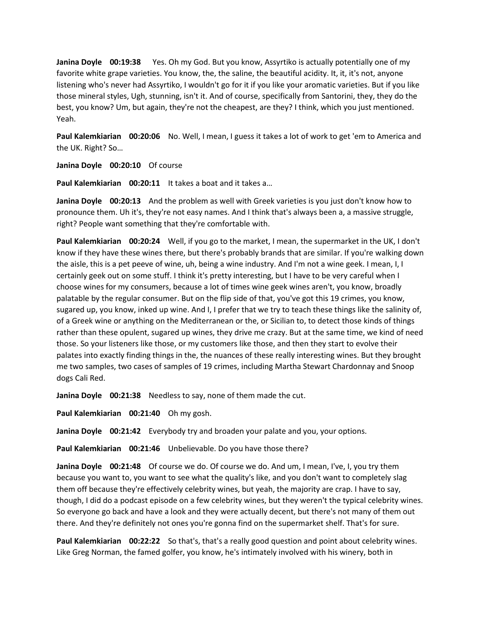**Janina Doyle 00:19:38** Yes. Oh my God. But you know, Assyrtiko is actually potentially one of my favorite white grape varieties. You know, the, the saline, the beautiful acidity. It, it, it's not, anyone listening who's never had Assyrtiko, I wouldn't go for it if you like your aromatic varieties. But if you like those mineral styles, Ugh, stunning, isn't it. And of course, specifically from Santorini, they, they do the best, you know? Um, but again, they're not the cheapest, are they? I think, which you just mentioned. Yeah.

**Paul Kalemkiarian 00:20:06** No. Well, I mean, I guess it takes a lot of work to get 'em to America and the UK. Right? So…

**Janina Doyle 00:20:10** Of course

**Paul Kalemkiarian 00:20:11** It takes a boat and it takes a…

**Janina Doyle 00:20:13** And the problem as well with Greek varieties is you just don't know how to pronounce them. Uh it's, they're not easy names. And I think that's always been a, a massive struggle, right? People want something that they're comfortable with.

**Paul Kalemkiarian 00:20:24** Well, if you go to the market, I mean, the supermarket in the UK, I don't know if they have these wines there, but there's probably brands that are similar. If you're walking down the aisle, this is a pet peeve of wine, uh, being a wine industry. And I'm not a wine geek. I mean, I, I certainly geek out on some stuff. I think it's pretty interesting, but I have to be very careful when I choose wines for my consumers, because a lot of times wine geek wines aren't, you know, broadly palatable by the regular consumer. But on the flip side of that, you've got this 19 crimes, you know, sugared up, you know, inked up wine. And I, I prefer that we try to teach these things like the salinity of, of a Greek wine or anything on the Mediterranean or the, or Sicilian to, to detect those kinds of things rather than these opulent, sugared up wines, they drive me crazy. But at the same time, we kind of need those. So your listeners like those, or my customers like those, and then they start to evolve their palates into exactly finding things in the, the nuances of these really interesting wines. But they brought me two samples, two cases of samples of 19 crimes, including Martha Stewart Chardonnay and Snoop dogs Cali Red.

**Janina Doyle 00:21:38** Needless to say, none of them made the cut.

**Paul Kalemkiarian 00:21:40** Oh my gosh.

**Janina Doyle 00:21:42** Everybody try and broaden your palate and you, your options.

**Paul Kalemkiarian 00:21:46** Unbelievable. Do you have those there?

**Janina Doyle 00:21:48** Of course we do. Of course we do. And um, I mean, I've, I, you try them because you want to, you want to see what the quality's like, and you don't want to completely slag them off because they're effectively celebrity wines, but yeah, the majority are crap. I have to say, though, I did do a podcast episode on a few celebrity wines, but they weren't the typical celebrity wines. So everyone go back and have a look and they were actually decent, but there's not many of them out there. And they're definitely not ones you're gonna find on the supermarket shelf. That's for sure.

**Paul Kalemkiarian 00:22:22** So that's, that's a really good question and point about celebrity wines. Like Greg Norman, the famed golfer, you know, he's intimately involved with his winery, both in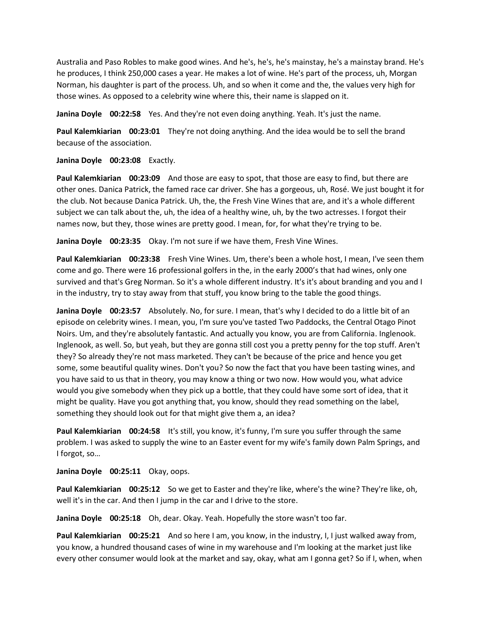Australia and Paso Robles to make good wines. And he's, he's, he's mainstay, he's a mainstay brand. He's he produces, I think 250,000 cases a year. He makes a lot of wine. He's part of the process, uh, Morgan Norman, his daughter is part of the process. Uh, and so when it come and the, the values very high for those wines. As opposed to a celebrity wine where this, their name is slapped on it.

**Janina Doyle 00:22:58** Yes. And they're not even doing anything. Yeah. It's just the name.

**Paul Kalemkiarian 00:23:01** They're not doing anything. And the idea would be to sell the brand because of the association.

## **Janina Doyle 00:23:08** Exactly.

**Paul Kalemkiarian 00:23:09** And those are easy to spot, that those are easy to find, but there are other ones. Danica Patrick, the famed race car driver. She has a gorgeous, uh, Rosé. We just bought it for the club. Not because Danica Patrick. Uh, the, the Fresh Vine Wines that are, and it's a whole different subject we can talk about the, uh, the idea of a healthy wine, uh, by the two actresses. I forgot their names now, but they, those wines are pretty good. I mean, for, for what they're trying to be.

**Janina Doyle 00:23:35** Okay. I'm not sure if we have them, Fresh Vine Wines.

**Paul Kalemkiarian 00:23:38** Fresh Vine Wines. Um, there's been a whole host, I mean, I've seen them come and go. There were 16 professional golfers in the, in the early 2000's that had wines, only one survived and that's Greg Norman. So it's a whole different industry. It's it's about branding and you and I in the industry, try to stay away from that stuff, you know bring to the table the good things.

**Janina Doyle 00:23:57** Absolutely. No, for sure. I mean, that's why I decided to do a little bit of an episode on celebrity wines. I mean, you, I'm sure you've tasted Two Paddocks, the Central Otago Pinot Noirs. Um, and they're absolutely fantastic. And actually you know, you are from California. Inglenook. Inglenook, as well. So, but yeah, but they are gonna still cost you a pretty penny for the top stuff. Aren't they? So already they're not mass marketed. They can't be because of the price and hence you get some, some beautiful quality wines. Don't you? So now the fact that you have been tasting wines, and you have said to us that in theory, you may know a thing or two now. How would you, what advice would you give somebody when they pick up a bottle, that they could have some sort of idea, that it might be quality. Have you got anything that, you know, should they read something on the label, something they should look out for that might give them a, an idea?

**Paul Kalemkiarian 00:24:58** It's still, you know, it's funny, I'm sure you suffer through the same problem. I was asked to supply the wine to an Easter event for my wife's family down Palm Springs, and I forgot, so…

**Janina Doyle 00:25:11** Okay, oops.

**Paul Kalemkiarian 00:25:12** So we get to Easter and they're like, where's the wine? They're like, oh, well it's in the car. And then I jump in the car and I drive to the store.

**Janina Doyle 00:25:18** Oh, dear. Okay. Yeah. Hopefully the store wasn't too far.

**Paul Kalemkiarian 00:25:21** And so here I am, you know, in the industry, I, I just walked away from, you know, a hundred thousand cases of wine in my warehouse and I'm looking at the market just like every other consumer would look at the market and say, okay, what am I gonna get? So if I, when, when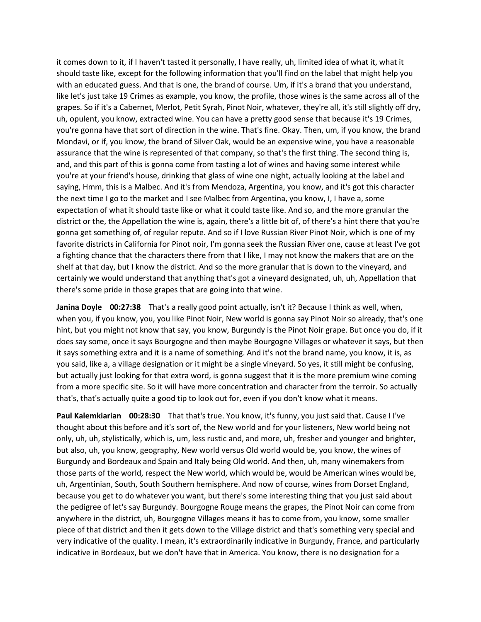it comes down to it, if I haven't tasted it personally, I have really, uh, limited idea of what it, what it should taste like, except for the following information that you'll find on the label that might help you with an educated guess. And that is one, the brand of course. Um, if it's a brand that you understand, like let's just take 19 Crimes as example, you know, the profile, those wines is the same across all of the grapes. So if it's a Cabernet, Merlot, Petit Syrah, Pinot Noir, whatever, they're all, it's still slightly off dry, uh, opulent, you know, extracted wine. You can have a pretty good sense that because it's 19 Crimes, you're gonna have that sort of direction in the wine. That's fine. Okay. Then, um, if you know, the brand Mondavi, or if, you know, the brand of Silver Oak, would be an expensive wine, you have a reasonable assurance that the wine is represented of that company, so that's the first thing. The second thing is, and, and this part of this is gonna come from tasting a lot of wines and having some interest while you're at your friend's house, drinking that glass of wine one night, actually looking at the label and saying, Hmm, this is a Malbec. And it's from Mendoza, Argentina, you know, and it's got this character the next time I go to the market and I see Malbec from Argentina, you know, I, I have a, some expectation of what it should taste like or what it could taste like. And so, and the more granular the district or the, the Appellation the wine is, again, there's a little bit of, of there's a hint there that you're gonna get something of, of regular repute. And so if I love Russian River Pinot Noir, which is one of my favorite districts in California for Pinot noir, I'm gonna seek the Russian River one, cause at least I've got a fighting chance that the characters there from that I like, I may not know the makers that are on the shelf at that day, but I know the district. And so the more granular that is down to the vineyard, and certainly we would understand that anything that's got a vineyard designated, uh, uh, Appellation that there's some pride in those grapes that are going into that wine.

**Janina Doyle 00:27:38** That's a really good point actually, isn't it? Because I think as well, when, when you, if you know, you, you like Pinot Noir, New world is gonna say Pinot Noir so already, that's one hint, but you might not know that say, you know, Burgundy is the Pinot Noir grape. But once you do, if it does say some, once it says Bourgogne and then maybe Bourgogne Villages or whatever it says, but then it says something extra and it is a name of something. And it's not the brand name, you know, it is, as you said, like a, a village designation or it might be a single vineyard. So yes, it still might be confusing, but actually just looking for that extra word, is gonna suggest that it is the more premium wine coming from a more specific site. So it will have more concentration and character from the terroir. So actually that's, that's actually quite a good tip to look out for, even if you don't know what it means.

**Paul Kalemkiarian 00:28:30** That that's true. You know, it's funny, you just said that. Cause I I've thought about this before and it's sort of, the New world and for your listeners, New world being not only, uh, uh, stylistically, which is, um, less rustic and, and more, uh, fresher and younger and brighter, but also, uh, you know, geography, New world versus Old world would be, you know, the wines of Burgundy and Bordeaux and Spain and Italy being Old world. And then, uh, many winemakers from those parts of the world, respect the New world, which would be, would be American wines would be, uh, Argentinian, South, South Southern hemisphere. And now of course, wines from Dorset England, because you get to do whatever you want, but there's some interesting thing that you just said about the pedigree of let's say Burgundy. Bourgogne Rouge means the grapes, the Pinot Noir can come from anywhere in the district, uh, Bourgogne Villages means it has to come from, you know, some smaller piece of that district and then it gets down to the Village district and that's something very special and very indicative of the quality. I mean, it's extraordinarily indicative in Burgundy, France, and particularly indicative in Bordeaux, but we don't have that in America. You know, there is no designation for a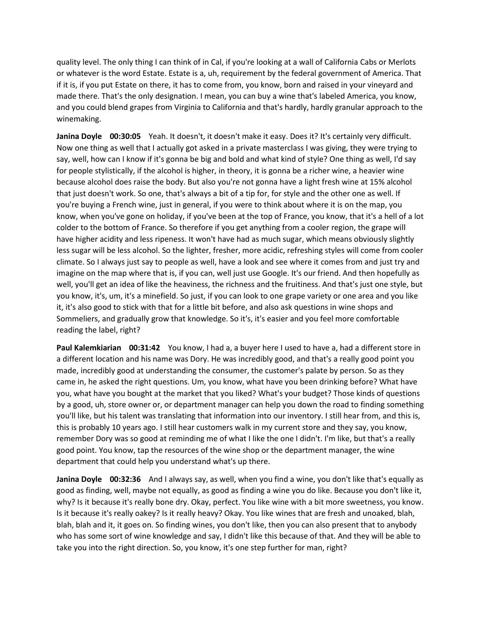quality level. The only thing I can think of in Cal, if you're looking at a wall of California Cabs or Merlots or whatever is the word Estate. Estate is a, uh, requirement by the federal government of America. That if it is, if you put Estate on there, it has to come from, you know, born and raised in your vineyard and made there. That's the only designation. I mean, you can buy a wine that's labeled America, you know, and you could blend grapes from Virginia to California and that's hardly, hardly granular approach to the winemaking.

**Janina Doyle 00:30:05** Yeah. It doesn't, it doesn't make it easy. Does it? It's certainly very difficult. Now one thing as well that I actually got asked in a private masterclass I was giving, they were trying to say, well, how can I know if it's gonna be big and bold and what kind of style? One thing as well, I'd say for people stylistically, if the alcohol is higher, in theory, it is gonna be a richer wine, a heavier wine because alcohol does raise the body. But also you're not gonna have a light fresh wine at 15% alcohol that just doesn't work. So one, that's always a bit of a tip for, for style and the other one as well. If you're buying a French wine, just in general, if you were to think about where it is on the map, you know, when you've gone on holiday, if you've been at the top of France, you know, that it's a hell of a lot colder to the bottom of France. So therefore if you get anything from a cooler region, the grape will have higher acidity and less ripeness. It won't have had as much sugar, which means obviously slightly less sugar will be less alcohol. So the lighter, fresher, more acidic, refreshing styles will come from cooler climate. So I always just say to people as well, have a look and see where it comes from and just try and imagine on the map where that is, if you can, well just use Google. It's our friend. And then hopefully as well, you'll get an idea of like the heaviness, the richness and the fruitiness. And that's just one style, but you know, it's, um, it's a minefield. So just, if you can look to one grape variety or one area and you like it, it's also good to stick with that for a little bit before, and also ask questions in wine shops and Sommeliers, and gradually grow that knowledge. So it's, it's easier and you feel more comfortable reading the label, right?

**Paul Kalemkiarian 00:31:42** You know, I had a, a buyer here I used to have a, had a different store in a different location and his name was Dory. He was incredibly good, and that's a really good point you made, incredibly good at understanding the consumer, the customer's palate by person. So as they came in, he asked the right questions. Um, you know, what have you been drinking before? What have you, what have you bought at the market that you liked? What's your budget? Those kinds of questions by a good, uh, store owner or, or department manager can help you down the road to finding something you'll like, but his talent was translating that information into our inventory. I still hear from, and this is, this is probably 10 years ago. I still hear customers walk in my current store and they say, you know, remember Dory was so good at reminding me of what I like the one I didn't. I'm like, but that's a really good point. You know, tap the resources of the wine shop or the department manager, the wine department that could help you understand what's up there.

**Janina Doyle 00:32:36** And I always say, as well, when you find a wine, you don't like that's equally as good as finding, well, maybe not equally, as good as finding a wine you do like. Because you don't like it, why? Is it because it's really bone dry. Okay, perfect. You like wine with a bit more sweetness, you know. Is it because it's really oakey? Is it really heavy? Okay. You like wines that are fresh and unoaked, blah, blah, blah and it, it goes on. So finding wines, you don't like, then you can also present that to anybody who has some sort of wine knowledge and say, I didn't like this because of that. And they will be able to take you into the right direction. So, you know, it's one step further for man, right?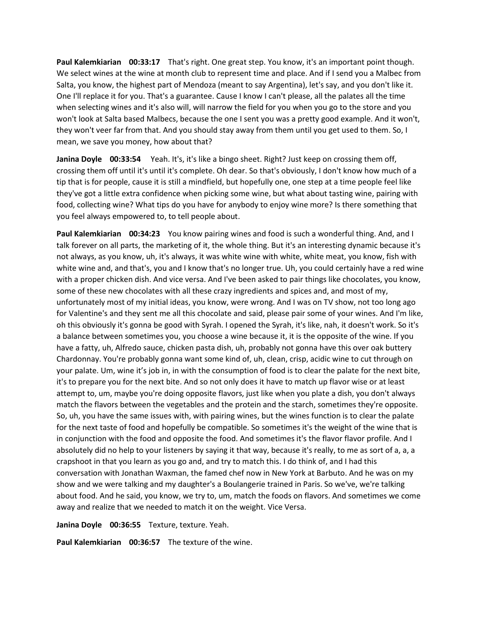**Paul Kalemkiarian 00:33:17** That's right. One great step. You know, it's an important point though. We select wines at the wine at month club to represent time and place. And if I send you a Malbec from Salta, you know, the highest part of Mendoza (meant to say Argentina), let's say, and you don't like it. One I'll replace it for you. That's a guarantee. Cause I know I can't please, all the palates all the time when selecting wines and it's also will, will narrow the field for you when you go to the store and you won't look at Salta based Malbecs, because the one I sent you was a pretty good example. And it won't, they won't veer far from that. And you should stay away from them until you get used to them. So, I mean, we save you money, how about that?

**Janina Doyle 00:33:54** Yeah. It's, it's like a bingo sheet. Right? Just keep on crossing them off, crossing them off until it's until it's complete. Oh dear. So that's obviously, I don't know how much of a tip that is for people, cause it is still a mindfield, but hopefully one, one step at a time people feel like they've got a little extra confidence when picking some wine, but what about tasting wine, pairing with food, collecting wine? What tips do you have for anybody to enjoy wine more? Is there something that you feel always empowered to, to tell people about.

**Paul Kalemkiarian 00:34:23** You know pairing wines and food is such a wonderful thing. And, and I talk forever on all parts, the marketing of it, the whole thing. But it's an interesting dynamic because it's not always, as you know, uh, it's always, it was white wine with white, white meat, you know, fish with white wine and, and that's, you and I know that's no longer true. Uh, you could certainly have a red wine with a proper chicken dish. And vice versa. And I've been asked to pair things like chocolates, you know, some of these new chocolates with all these crazy ingredients and spices and, and most of my, unfortunately most of my initial ideas, you know, were wrong. And I was on TV show, not too long ago for Valentine's and they sent me all this chocolate and said, please pair some of your wines. And I'm like, oh this obviously it's gonna be good with Syrah. I opened the Syrah, it's like, nah, it doesn't work. So it's a balance between sometimes you, you choose a wine because it, it is the opposite of the wine. If you have a fatty, uh, Alfredo sauce, chicken pasta dish, uh, probably not gonna have this over oak buttery Chardonnay. You're probably gonna want some kind of, uh, clean, crisp, acidic wine to cut through on your palate. Um, wine it's job in, in with the consumption of food is to clear the palate for the next bite, it's to prepare you for the next bite. And so not only does it have to match up flavor wise or at least attempt to, um, maybe you're doing opposite flavors, just like when you plate a dish, you don't always match the flavors between the vegetables and the protein and the starch, sometimes they're opposite. So, uh, you have the same issues with, with pairing wines, but the wines function is to clear the palate for the next taste of food and hopefully be compatible. So sometimes it's the weight of the wine that is in conjunction with the food and opposite the food. And sometimes it's the flavor flavor profile. And I absolutely did no help to your listeners by saying it that way, because it's really, to me as sort of a, a, a crapshoot in that you learn as you go and, and try to match this. I do think of, and I had this conversation with Jonathan Waxman, the famed chef now in New York at Barbuto. And he was on my show and we were talking and my daughter's a Boulangerie trained in Paris. So we've, we're talking about food. And he said, you know, we try to, um, match the foods on flavors. And sometimes we come away and realize that we needed to match it on the weight. Vice Versa.

**Janina Doyle 00:36:55** Texture, texture. Yeah.

**Paul Kalemkiarian 00:36:57** The texture of the wine.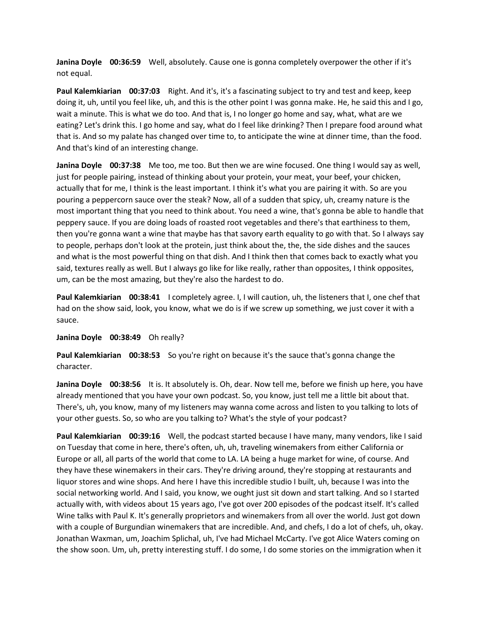**Janina Doyle 00:36:59** Well, absolutely. Cause one is gonna completely overpower the other if it's not equal.

**Paul Kalemkiarian 00:37:03** Right. And it's, it's a fascinating subject to try and test and keep, keep doing it, uh, until you feel like, uh, and this is the other point I was gonna make. He, he said this and I go, wait a minute. This is what we do too. And that is, I no longer go home and say, what, what are we eating? Let's drink this. I go home and say, what do I feel like drinking? Then I prepare food around what that is. And so my palate has changed over time to, to anticipate the wine at dinner time, than the food. And that's kind of an interesting change.

**Janina Doyle 00:37:38** Me too, me too. But then we are wine focused. One thing I would say as well, just for people pairing, instead of thinking about your protein, your meat, your beef, your chicken, actually that for me, I think is the least important. I think it's what you are pairing it with. So are you pouring a peppercorn sauce over the steak? Now, all of a sudden that spicy, uh, creamy nature is the most important thing that you need to think about. You need a wine, that's gonna be able to handle that peppery sauce. If you are doing loads of roasted root vegetables and there's that earthiness to them, then you're gonna want a wine that maybe has that savory earth equality to go with that. So I always say to people, perhaps don't look at the protein, just think about the, the, the side dishes and the sauces and what is the most powerful thing on that dish. And I think then that comes back to exactly what you said, textures really as well. But I always go like for like really, rather than opposites, I think opposites, um, can be the most amazing, but they're also the hardest to do.

**Paul Kalemkiarian 00:38:41** I completely agree. I, I will caution, uh, the listeners that I, one chef that had on the show said, look, you know, what we do is if we screw up something, we just cover it with a sauce.

## **Janina Doyle 00:38:49** Oh really?

**Paul Kalemkiarian 00:38:53** So you're right on because it's the sauce that's gonna change the character.

**Janina Doyle 00:38:56** It is. It absolutely is. Oh, dear. Now tell me, before we finish up here, you have already mentioned that you have your own podcast. So, you know, just tell me a little bit about that. There's, uh, you know, many of my listeners may wanna come across and listen to you talking to lots of your other guests. So, so who are you talking to? What's the style of your podcast?

**Paul Kalemkiarian 00:39:16** Well, the podcast started because I have many, many vendors, like I said on Tuesday that come in here, there's often, uh, uh, traveling winemakers from either California or Europe or all, all parts of the world that come to LA. LA being a huge market for wine, of course. And they have these winemakers in their cars. They're driving around, they're stopping at restaurants and liquor stores and wine shops. And here I have this incredible studio I built, uh, because I was into the social networking world. And I said, you know, we ought just sit down and start talking. And so I started actually with, with videos about 15 years ago, I've got over 200 episodes of the podcast itself. It's called Wine talks with Paul K. It's generally proprietors and winemakers from all over the world. Just got down with a couple of Burgundian winemakers that are incredible. And, and chefs, I do a lot of chefs, uh, okay. Jonathan Waxman, um, Joachim Splichal, uh, I've had Michael McCarty. I've got Alice Waters coming on the show soon. Um, uh, pretty interesting stuff. I do some, I do some stories on the immigration when it